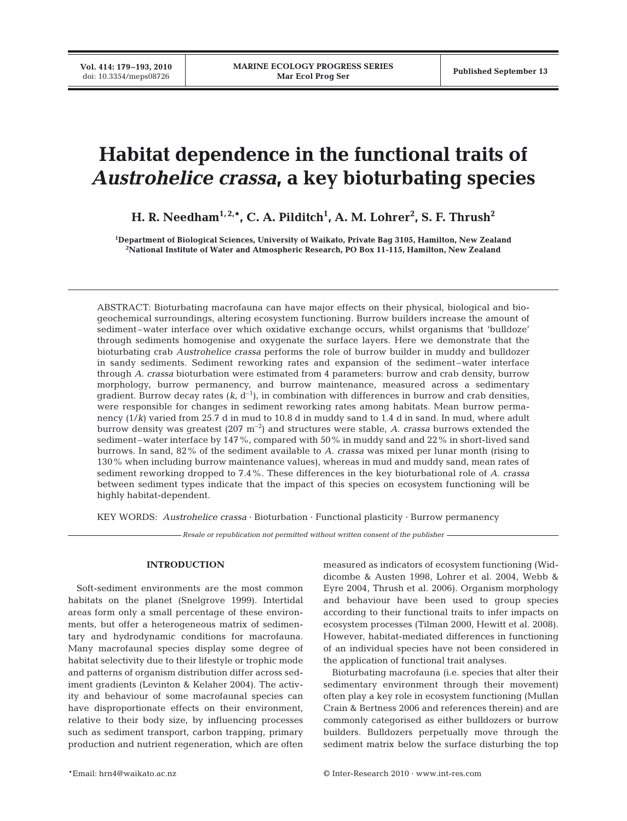# **Habitat dependence in the functional traits of** *Austrohelice crassa***, a key bioturbating species**

**H. R. Needham1, 2,\*, C. A. Pilditch1 , A. M. Lohrer2 , S. F. Thrush2**

**1 Department of Biological Sciences, University of Waikato, Private Bag 3105, Hamilton, New Zealand 2 National Institute of Water and Atmospheric Research, PO Box 11-115, Hamilton, New Zealand**

ABSTRACT: Bioturbating macrofauna can have major effects on their physical, biological and biogeochemical surroundings, altering ecosystem functioning. Burrow builders increase the amount of sediment–water interface over which oxidative exchange occurs, whilst organisms that 'bulldoze' through sediments homogenise and oxygenate the surface layers. Here we demonstrate that the bioturbating crab *Austrohelice crassa* performs the role of burrow builder in muddy and bulldozer in sandy sediments. Sediment reworking rates and expansion of the sediment–water interface through *A. crassa* bioturbation were estimated from 4 parameters: burrow and crab density, burrow morphology, burrow permanency, and burrow maintenance, measured across a sedimentary gradient. Burrow decay rates  $(k, d^{-1})$ , in combination with differences in burrow and crab densities, were responsible for changes in sediment reworking rates among habitats. Mean burrow permanency (1/*k*) varied from 25.7 d in mud to 10.8 d in muddy sand to 1.4 d in sand. In mud, where adult burrow density was greatest (207 m–2) and structures were stable, *A. crassa* burrows extended the sediment–water interface by 147%, compared with 50% in muddy sand and 22% in short-lived sand burrows. In sand, 82% of the sediment available to *A. crassa* was mixed per lunar month (rising to 130% when including burrow maintenance values), whereas in mud and muddy sand, mean rates of sediment reworking dropped to 7.4%. These differences in the key bioturbational role of *A. crassa* between sediment types indicate that the impact of this species on ecosystem functioning will be highly habitat-dependent.

KEY WORDS: *Austrohelice crassa* · Bioturbation · Functional plasticity · Burrow permanency

*Resale or republication not permitted without written consent of the publisher*

# **INTRODUCTION**

Soft-sediment environments are the most common habitats on the planet (Snelgrove 1999). Intertidal areas form only a small percentage of these environments, but offer a heterogeneous matrix of sedimentary and hydrodynamic conditions for macrofauna. Many macrofaunal species display some degree of habitat selectivity due to their lifestyle or trophic mode and patterns of organism distribution differ across sediment gradients (Levinton & Kelaher 2004). The activity and behaviour of some macrofaunal species can have disproportionate effects on their environment, relative to their body size, by influencing processes such as sediment transport, carbon trapping, primary production and nutrient regeneration, which are often

measured as indicators of ecosystem functioning (Widdicombe & Austen 1998, Lohrer et al. 2004, Webb & Eyre 2004, Thrush et al. 2006). Organism morphology and behaviour have been used to group species according to their functional traits to infer impacts on ecosystem processes (Tilman 2000, Hewitt et al. 2008). However, habitat-mediated differences in functioning of an individual species have not been considered in the application of functional trait analyses.

Bioturbating macrofauna (i.e. species that alter their sedimentary environment through their movement) often play a key role in ecosystem functioning (Mullan Crain & Bertness 2006 and references therein) and are commonly categorised as either bulldozers or burrow builders. Bulldozers perpetually move through the sediment matrix below the surface disturbing the top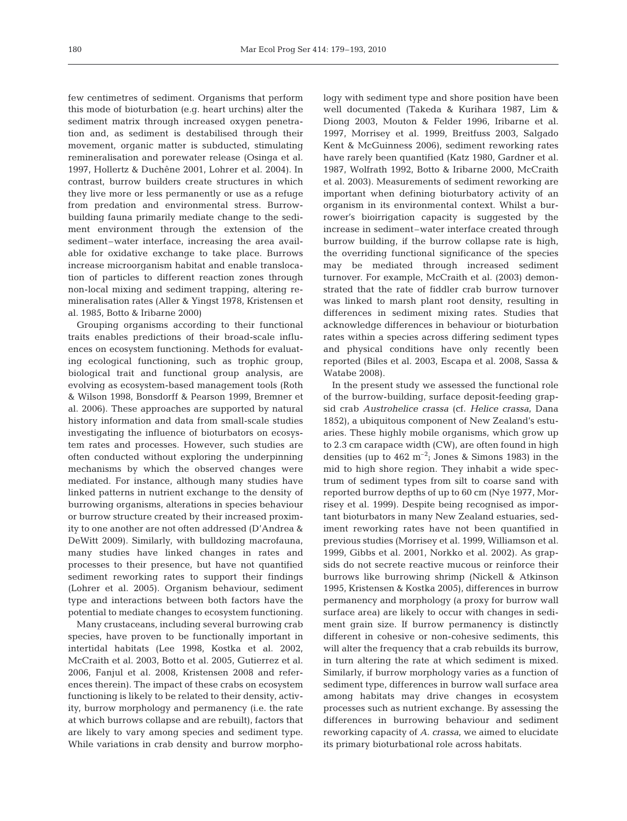few centimetres of sediment. Organisms that perform this mode of bioturbation (e.g. heart urchins) alter the sediment matrix through increased oxygen penetration and, as sediment is destabilised through their movement, organic matter is subducted, stimulating remineralisation and porewater release (Osinga et al. 1997, Hollertz & Duchêne 2001, Lohrer et al. 2004). In contrast, burrow builders create structures in which they live more or less permanently or use as a refuge from predation and environmental stress. Burrowbuilding fauna primarily mediate change to the sediment environment through the extension of the sediment–water interface, increasing the area available for oxidative exchange to take place. Burrows increase microorganism habitat and enable translocation of particles to different reaction zones through non-local mixing and sediment trapping, altering remineralisation rates (Aller & Yingst 1978, Kristensen et al. 1985, Botto & Iribarne 2000)

Grouping organisms according to their functional traits enables predictions of their broad-scale influences on ecosystem functioning. Methods for evaluating ecological functioning, such as trophic group, biological trait and functional group analysis, are evolving as ecosystem-based management tools (Roth & Wilson 1998, Bonsdorff & Pearson 1999, Bremner et al. 2006). These approaches are supported by natural history information and data from small-scale studies investigating the influence of bioturbators on ecosystem rates and processes. However, such studies are often conducted without exploring the underpinning mechanisms by which the observed changes were mediated. For instance, although many studies have linked patterns in nutrient exchange to the density of burrowing organisms, alterations in species behaviour or burrow structure created by their increased proximity to one another are not often addressed (D'Andrea & DeWitt 2009). Similarly, with bulldozing macrofauna, many studies have linked changes in rates and processes to their presence, but have not quantified sediment reworking rates to support their findings (Lohrer et al. 2005). Organism behaviour, sediment type and interactions between both factors have the potential to mediate changes to ecosystem functioning.

Many crustaceans, including several burrowing crab species, have proven to be functionally important in intertidal habitats (Lee 1998, Kostka et al. 2002, McCraith et al. 2003, Botto et al. 2005, Gutierrez et al. 2006, Fanjul et al. 2008, Kristensen 2008 and references therein). The impact of these crabs on ecosystem functioning is likely to be related to their density, activity, burrow morphology and permanency (i.e. the rate at which burrows collapse and are rebuilt), factors that are likely to vary among species and sediment type. While variations in crab density and burrow morphology with sediment type and shore position have been well documented (Takeda & Kurihara 1987, Lim & Diong 2003, Mouton & Felder 1996, Iribarne et al. 1997, Morrisey et al. 1999, Breitfuss 2003, Salgado Kent & McGuinness 2006), sediment reworking rates have rarely been quantified (Katz 1980, Gardner et al. 1987, Wolfrath 1992, Botto & Iribarne 2000, McCraith et al. 2003). Measurements of sediment reworking are important when defining bioturbatory activity of an organism in its environmental context. Whilst a burrower's bioirrigation capacity is suggested by the increase in sediment–water interface created through burrow building, if the burrow collapse rate is high, the overriding functional significance of the species may be mediated through increased sediment turnover. For example, McCraith et al. (2003) demonstrated that the rate of fiddler crab burrow turnover was linked to marsh plant root density, resulting in differences in sediment mixing rates. Studies that acknowledge differences in behaviour or bioturbation rates within a species across differing sediment types and physical conditions have only recently been reported (Biles et al. 2003, Escapa et al. 2008, Sassa & Watabe 2008).

In the present study we assessed the functional role of the burrow-building, surface deposit-feeding grapsid crab *Austrohelice crassa* (cf. *Helice crassa*, Dana 1852), a ubiquitous component of New Zealand's estuaries. These highly mobile organisms, which grow up to 2.3 cm carapace width (CW), are often found in high densities (up to  $462 \text{ m}^{-2}$ ; Jones & Simons 1983) in the mid to high shore region. They inhabit a wide spectrum of sediment types from silt to coarse sand with reported burrow depths of up to 60 cm (Nye 1977, Morrisey et al. 1999). Despite being recognised as important bioturbators in many New Zealand estuaries, sediment reworking rates have not been quantified in previous studies (Morrisey et al. 1999, Williamson et al. 1999, Gibbs et al. 2001, Norkko et al. 2002). As grapsids do not secrete reactive mucous or reinforce their burrows like burrowing shrimp (Nickell & Atkinson 1995, Kristensen & Kostka 2005), differences in burrow permanency and morphology (a proxy for burrow wall surface area) are likely to occur with changes in sediment grain size. If burrow permanency is distinctly different in cohesive or non-cohesive sediments, this will alter the frequency that a crab rebuilds its burrow, in turn altering the rate at which sediment is mixed. Similarly, if burrow morphology varies as a function of sediment type, differences in burrow wall surface area among habitats may drive changes in ecosystem processes such as nutrient exchange. By assessing the differences in burrowing behaviour and sediment reworking capacity of *A. crassa*, we aimed to elucidate its primary bioturbational role across habitats.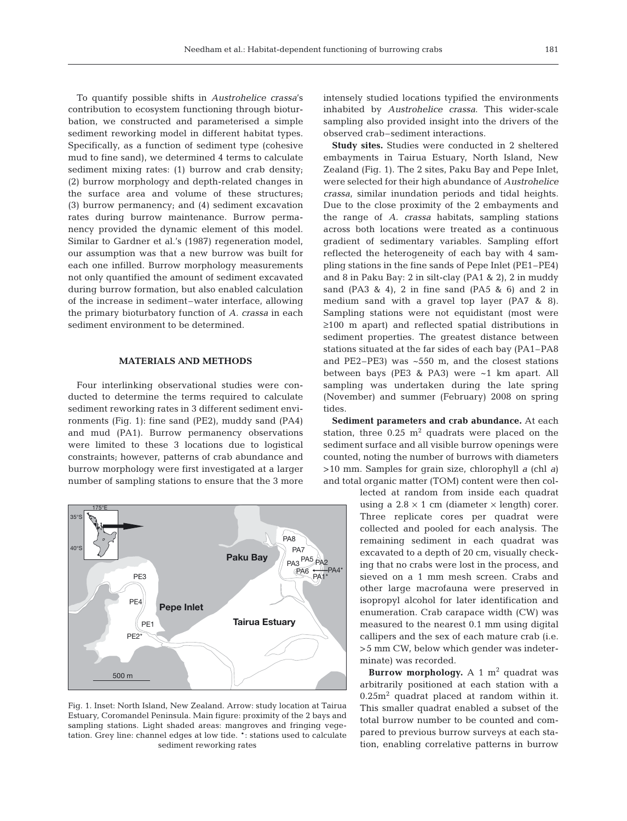To quantify possible shifts in *Austrohelice crassa*'s contribution to ecosystem functioning through bioturbation, we constructed and parameterised a simple sediment reworking model in different habitat types. Specifically, as a function of sediment type (cohesive mud to fine sand), we determined 4 terms to calculate sediment mixing rates: (1) burrow and crab density; (2) burrow morphology and depth-related changes in the surface area and volume of these structures; (3) burrow permanency; and (4) sediment excavation rates during burrow maintenance. Burrow permanency provided the dynamic element of this model. Similar to Gardner et al.'s (1987) regeneration model, our assumption was that a new burrow was built for each one infilled. Burrow morphology measurements not only quantified the amount of sediment excavated during burrow formation, but also enabled calculation of the increase in sediment–water interface, allowing the primary bioturbatory function of *A. crassa* in each sediment environment to be determined.

# **MATERIALS AND METHODS**

Four interlinking observational studies were conducted to determine the terms required to calculate sediment reworking rates in 3 different sediment environments (Fig. 1): fine sand (PE2), muddy sand (PA4) and mud (PA1). Burrow permanency observations were limited to these 3 locations due to logistical constraints; however, patterns of crab abundance and burrow morphology were first investigated at a larger number of sampling stations to ensure that the 3 more



Fig. 1. Inset: North Island, New Zealand. Arrow: study location at Tairua Estuary, Coromandel Peninsula. Main figure: proximity of the 2 bays and sampling stations. Light shaded areas: mangroves and fringing vegetation. Grey line: channel edges at low tide. \*: stations used to calculate sediment reworking rates

intensely studied locations typified the environments inhabited by *Austrohelice crassa*. This wider-scale sampling also provided insight into the drivers of the observed crab–sediment interactions.

**Study sites.** Studies were conducted in 2 sheltered embayments in Tairua Estuary, North Island, New Zealand (Fig. 1). The 2 sites, Paku Bay and Pepe Inlet, were selected for their high abundance of *Austrohelice crassa*, similar inundation periods and tidal heights. Due to the close proximity of the 2 embayments and the range of *A. crassa* habitats, sampling stations across both locations were treated as a continuous gradient of sedimentary variables. Sampling effort reflected the heterogeneity of each bay with 4 sampling stations in the fine sands of Pepe Inlet (PE1–PE4) and 8 in Paku Bay: 2 in silt-clay (PA1 & 2), 2 in muddy sand (PA3 & 4), 2 in fine sand (PA5 & 6) and 2 in medium sand with a gravel top layer (PA7 & 8). Sampling stations were not equidistant (most were ≥100 m apart) and reflected spatial distributions in sediment properties. The greatest distance between stations situated at the far sides of each bay (PA1–PA8 and PE2–PE3) was  $\sim$ 550 m, and the closest stations between bays (PE3 & PA3) were ~1 km apart. All sampling was undertaken during the late spring (November) and summer (February) 2008 on spring tides.

**Sediment parameters and crab abundance.** At each station, three  $0.25 \text{ m}^2$  quadrats were placed on the sediment surface and all visible burrow openings were counted, noting the number of burrows with diameters >10 mm. Samples for grain size, chlorophyll *a* (chl *a*) and total organic matter (TOM) content were then col-

> lected at random from inside each quadrat using a  $2.8 \times 1$  cm (diameter  $\times$  length) corer. Three replicate cores per quadrat were collected and pooled for each analysis. The remaining sediment in each quadrat was excavated to a depth of 20 cm, visually checking that no crabs were lost in the process, and sieved on a 1 mm mesh screen. Crabs and other large macrofauna were preserved in isopropyl alcohol for later identification and enumeration. Crab carapace width (CW) was measured to the nearest 0.1 mm using digital callipers and the sex of each mature crab (i.e. >5 mm CW, below which gender was indeterminate) was recorded.

> **Burrow morphology.** A 1  $m^2$  quadrat was arbitrarily positioned at each station with a  $0.25m<sup>2</sup>$  quadrat placed at random within it. This smaller quadrat enabled a subset of the total burrow number to be counted and compared to previous burrow surveys at each station, enabling correlative patterns in burrow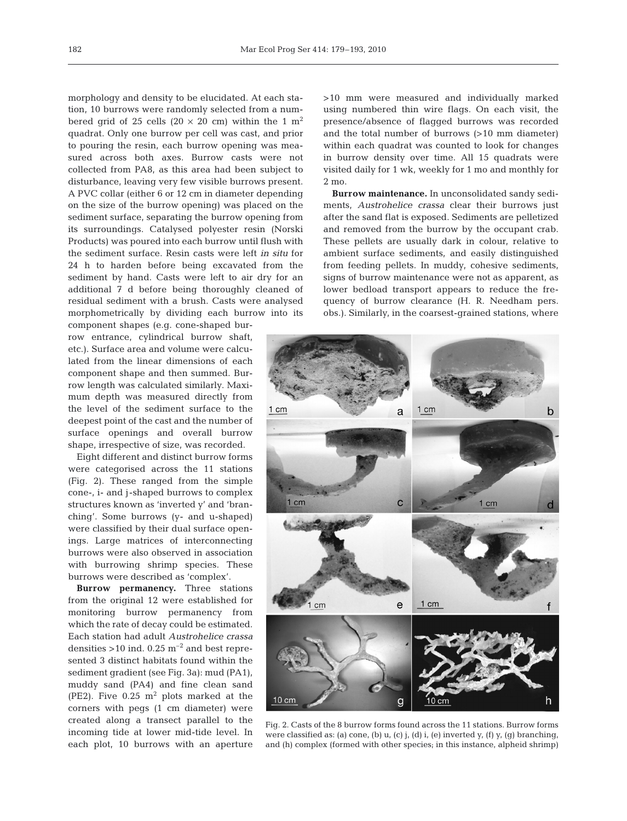morphology and density to be elucidated. At each station, 10 burrows were randomly selected from a numbered grid of 25 cells (20  $\times$  20 cm) within the 1 m<sup>2</sup> quadrat. Only one burrow per cell was cast, and prior to pouring the resin, each burrow opening was measured across both axes. Burrow casts were not collected from PA8, as this area had been subject to disturbance, leaving very few visible burrows present. A PVC collar (either 6 or 12 cm in diameter depending on the size of the burrow opening) was placed on the sediment surface, separating the burrow opening from its surroundings. Catalysed polyester resin (Norski Products) was poured into each burrow until flush with the sediment surface. Resin casts were left *in situ* for 24 h to harden before being excavated from the sediment by hand. Casts were left to air dry for an additional 7 d before being thoroughly cleaned of residual sediment with a brush. Casts were analysed morphometrically by dividing each burrow into its

component shapes (e.g. cone-shaped burrow entrance, cylindrical burrow shaft, etc.). Surface area and volume were calculated from the linear dimensions of each component shape and then summed. Burrow length was calculated similarly. Maximum depth was measured directly from the level of the sediment surface to the deepest point of the cast and the number of surface openings and overall burrow shape, irrespective of size, was recorded.

Eight different and distinct burrow forms were categorised across the 11 stations (Fig. 2). These ranged from the simple cone-, i- and j-shaped burrows to complex structures known as 'inverted y' and 'branching'. Some burrows (y- and u-shaped) were classified by their dual surface openings. Large matrices of interconnecting burrows were also observed in association with burrowing shrimp species. These burrows were described as 'complex'.

**Burrow permanency.** Three stations from the original 12 were established for monitoring burrow permanency from which the rate of decay could be estimated. Each station had adult *Austrohelice crassa* densities  $>10$  ind. 0.25 m<sup>-2</sup> and best represented 3 distinct habitats found within the sediment gradient (see Fig. 3a): mud (PA1), muddy sand (PA4) and fine clean sand (PE2). Five  $0.25$  m<sup>2</sup> plots marked at the corners with pegs (1 cm diameter) were created along a transect parallel to the incoming tide at lower mid-tide level. In each plot, 10 burrows with an aperture >10 mm were measured and individually marked using numbered thin wire flags. On each visit, the presence/absence of flagged burrows was recorded and the total number of burrows (>10 mm diameter) within each quadrat was counted to look for changes in burrow density over time. All 15 quadrats were visited daily for 1 wk, weekly for 1 mo and monthly for 2 mo.

**Burrow maintenance.** In unconsolidated sandy sediments, *Austrohelice crassa* clear their burrows just after the sand flat is exposed. Sediments are pelletized and removed from the burrow by the occupant crab. These pellets are usually dark in colour, relative to ambient surface sediments, and easily distinguished from feeding pellets. In muddy, cohesive sediments, signs of burrow maintenance were not as apparent, as lower bedload transport appears to reduce the frequency of burrow clearance (H. R. Needham pers. obs.). Similarly, in the coarsest-grained stations, where



Fig. 2. Casts of the 8 burrow forms found across the 11 stations. Burrow forms were classified as: (a) cone, (b) u, (c) j, (d) i, (e) inverted y, (f) y, (g) branching, and (h) complex (formed with other species; in this instance, alpheid shrimp)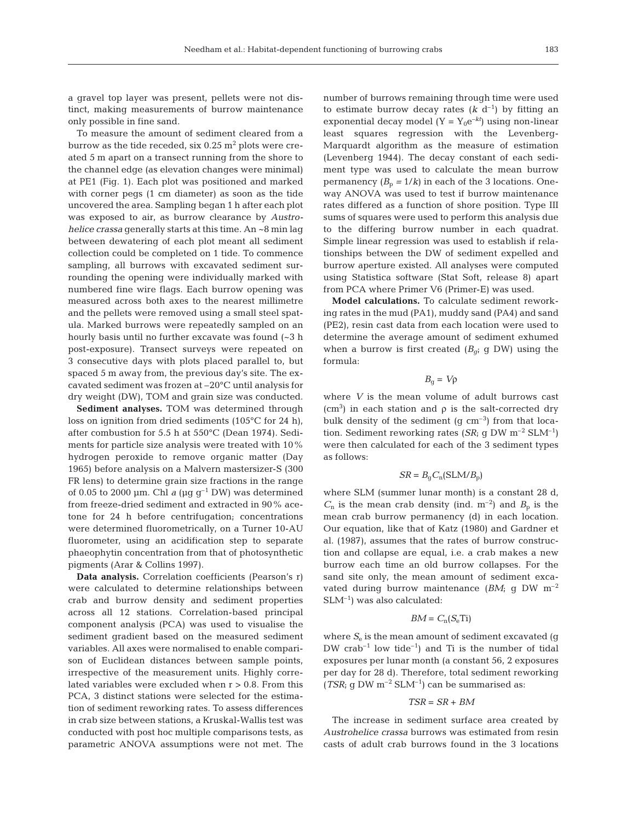a gravel top layer was present, pellets were not distinct, making measurements of burrow maintenance only possible in fine sand.

To measure the amount of sediment cleared from a burrow as the tide receded, six  $0.25$  m<sup>2</sup> plots were created 5 m apart on a transect running from the shore to the channel edge (as elevation changes were minimal) at PE1 (Fig. 1). Each plot was positioned and marked with corner pegs (1 cm diameter) as soon as the tide uncovered the area. Sampling began 1 h after each plot was exposed to air, as burrow clearance by *Austrohelice crassa* generally starts at this time. An ~8 min lag between dewatering of each plot meant all sediment collection could be completed on 1 tide. To commence sampling, all burrows with excavated sediment surrounding the opening were individually marked with numbered fine wire flags. Each burrow opening was measured across both axes to the nearest millimetre and the pellets were removed using a small steel spatula. Marked burrows were repeatedly sampled on an hourly basis until no further excavate was found (~3 h post-exposure). Transect surveys were repeated on 3 consecutive days with plots placed parallel to, but spaced 5 m away from, the previous day's site. The excavated sediment was frozen at –20°C until analysis for dry weight (DW), TOM and grain size was conducted.

**Sediment analyses.** TOM was determined through loss on ignition from dried sediments (105°C for 24 h), after combustion for 5.5 h at 550°C (Dean 1974). Sediments for particle size analysis were treated with 10% hydrogen peroxide to remove organic matter (Day 1965) before analysis on a Malvern mastersizer-S (300 FR lens) to determine grain size fractions in the range of 0.05 to 2000 µm. Chl *a* ( $\mu$ g g<sup>-1</sup> DW) was determined from freeze-dried sediment and extracted in 90% acetone for 24 h before centrifugation; concentrations were determined fluorometrically, on a Turner 10-AU fluorometer, using an acidification step to separate phaeophytin concentration from that of photosynthetic pigments (Arar & Collins 1997).

**Data analysis.** Correlation coefficients (Pearson's r) were calculated to determine relationships between crab and burrow density and sediment properties across all 12 stations. Correlation-based principal component analysis (PCA) was used to visualise the sediment gradient based on the measured sediment variables. All axes were normalised to enable comparison of Euclidean distances between sample points, irrespective of the measurement units. Highly correlated variables were excluded when  $r > 0.8$ . From this PCA, 3 distinct stations were selected for the estimation of sediment reworking rates. To assess differences in crab size between stations, a Kruskal-Wallis test was conducted with post hoc multiple comparisons tests, as parametric ANOVA assumptions were not met. The

number of burrows remaining through time were used to estimate burrow decay rates  $(k \, d^{-1})$  by fitting an exponential decay model  $(Y = Y_0e^{-kt})$  using non-linear least squares regression with the Levenberg-Marquardt algorithm as the measure of estimation (Levenberg 1944). The decay constant of each sediment type was used to calculate the mean burrow permanency  $(B_p = 1/k)$  in each of the 3 locations. Oneway ANOVA was used to test if burrow maintenance rates differed as a function of shore position. Type III sums of squares were used to perform this analysis due to the differing burrow number in each quadrat. Simple linear regression was used to establish if relationships between the DW of sediment expelled and burrow aperture existed. All analyses were computed using Statistica software (Stat Soft, release 8) apart from PCA where Primer V6 (Primer-E) was used.

**Model calculations.** To calculate sediment reworking rates in the mud (PA1), muddy sand (PA4) and sand (PE2), resin cast data from each location were used to determine the average amount of sediment exhumed when a burrow is first created  $(B<sub>gi</sub> \t g \t DW)$  using the formula:

$$
B_{\rm g} = V \rho
$$

where *V* is the mean volume of adult burrows cast  $(cm<sup>3</sup>)$  in each station and  $\rho$  is the salt-corrected dry bulk density of the sediment  $(g \text{ cm}^{-3})$  from that location. Sediment reworking rates (*SR*; g DW  $m^{-2}$  SLM<sup>-1</sup>) were then calculated for each of the 3 sediment types as follows:

$$
SR = B_{\rm g} C_{\rm n} (\text{SLM}/B_{\rm p})
$$

where SLM (summer lunar month) is a constant 28 d,  $C_n$  is the mean crab density (ind.  $m^{-2}$ ) and  $B_p$  is the mean crab burrow permanency (d) in each location. Our equation, like that of Katz (1980) and Gardner et al. (1987), assumes that the rates of burrow construction and collapse are equal, i.e. a crab makes a new burrow each time an old burrow collapses. For the sand site only, the mean amount of sediment excavated during burrow maintenance (*BM*; g DW m–2  $SLM^{-1}$ ) was also calculated:

#### $BM = C_n(S_e \text{Ti})$

where  $S_e$  is the mean amount of sediment excavated (g  $DW$  crab<sup>-1</sup> low tide<sup>-1</sup>) and Ti is the number of tidal exposures per lunar month (a constant 56, 2 exposures per day for 28 d). Therefore, total sediment reworking  $(TSR; qDWm^{-2}SLM^{-1})$  can be summarised as:

## *TSR* = *SR* + *BM*

The increase in sediment surface area created by *Austrohelice crassa* burrows was estimated from resin casts of adult crab burrows found in the 3 locations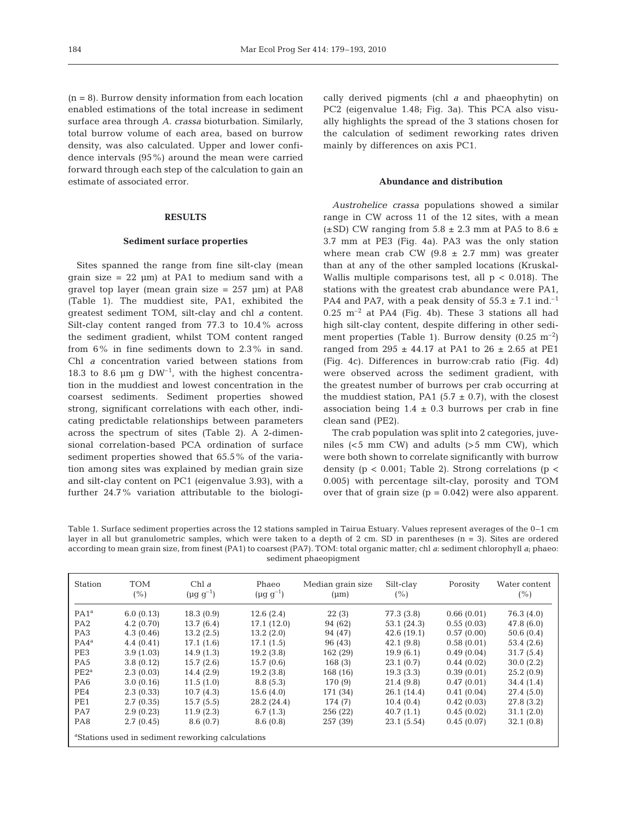$(n = 8)$ . Burrow density information from each location enabled estimations of the total increase in sediment surface area through *A. crassa* bioturbation. Similarly, total burrow volume of each area, based on burrow density, was also calculated. Upper and lower confidence intervals (95%) around the mean were carried forward through each step of the calculation to gain an estimate of associated error.

## **RESULTS**

#### **Sediment surface properties**

Sites spanned the range from fine silt-clay (mean grain size =  $22 \mu m$ ) at PA1 to medium sand with a gravel top layer (mean grain size  $= 257 \mu m$ ) at PA8 (Table 1). The muddiest site, PA1, exhibited the greatest sediment TOM, silt-clay and chl *a* content. Silt-clay content ranged from 77.3 to 10.4% across the sediment gradient, whilst TOM content ranged from 6% in fine sediments down to 2.3% in sand. Chl *a* concentration varied between stations from 18.3 to 8.6  $\mu$ m g DW<sup>-1</sup>, with the highest concentration in the muddiest and lowest concentration in the coarsest sediments. Sediment properties showed strong, significant correlations with each other, indicating predictable relationships between parameters across the spectrum of sites (Table 2). A 2-dimensional correlation-based PCA ordination of surface sediment properties showed that 65.5% of the variation among sites was explained by median grain size and silt-clay content on PC1 (eigenvalue 3.93), with a further 24.7% variation attributable to the biologically derived pigments (chl *a* and phaeophytin) on PC2 (eigenvalue 1.48; Fig. 3a). This PCA also visually highlights the spread of the 3 stations chosen for the calculation of sediment reworking rates driven mainly by differences on axis PC1.

# **Abundance and distribution**

*Austrohelice crassa* populations showed a similar range in CW across 11 of the 12 sites, with a mean ( $\pm$ SD) CW ranging from 5.8  $\pm$  2.3 mm at PA5 to 8.6  $\pm$ 3.7 mm at PE3 (Fig. 4a). PA3 was the only station where mean crab CW  $(9.8 \pm 2.7 \text{ mm})$  was greater than at any of the other sampled locations (Kruskal-Wallis multiple comparisons test, all  $p < 0.018$ ). The stations with the greatest crab abundance were PA1, PA4 and PA7, with a peak density of  $55.3 \pm 7.1$  ind.<sup>-1</sup>  $0.25$  m<sup>-2</sup> at PA4 (Fig. 4b). These 3 stations all had high silt-clay content, despite differing in other sediment properties (Table 1). Burrow density  $(0.25 \text{ m}^{-2})$ ranged from 295  $\pm$  44.17 at PA1 to 26  $\pm$  2.65 at PE1 (Fig. 4c). Differences in burrow:crab ratio (Fig. 4d) were observed across the sediment gradient, with the greatest number of burrows per crab occurring at the muddiest station, PA1 (5.7  $\pm$  0.7), with the closest association being  $1.4 \pm 0.3$  burrows per crab in fine clean sand (PE2).

The crab population was split into 2 categories, juveniles (<5 mm CW) and adults (>5 mm CW), which were both shown to correlate significantly with burrow density ( $p < 0.001$ ; Table 2). Strong correlations ( $p <$ 0.005) with percentage silt-clay, porosity and TOM over that of grain size  $(p = 0.042)$  were also apparent.

Table 1. Surface sediment properties across the 12 stations sampled in Tairua Estuary. Values represent averages of the 0–1 cm layer in all but granulometric samples, which were taken to a depth of 2 cm. SD in parentheses (n = 3). Sites are ordered according to mean grain size, from finest (PA1) to coarsest (PA7). TOM: total organic matter; chl *a*: sediment chlorophyll *a*; phaeo: sediment phaeopigment

| <b>Station</b>                                                | <b>TOM</b><br>(%) | Chl $a$<br>$(\mu q \, q^{-1})$ | Phaeo<br>$(\mu q \, q^{-1})$ | Median grain size<br>$(\mu m)$ | Silt-clay<br>(% ) | Porosity   | Water content<br>(%) |
|---------------------------------------------------------------|-------------------|--------------------------------|------------------------------|--------------------------------|-------------------|------------|----------------------|
| PA1 <sup>a</sup>                                              | 6.0(0.13)         | 18.3(0.9)                      | 12.6(2.4)                    | 22(3)                          | 77.3 (3.8)        | 0.66(0.01) | 76.3 (4.0)           |
| PA <sub>2</sub>                                               | 4.2(0.70)         | 13.7(6.4)                      | 17.1 (12.0)                  | 94 (62)                        | 53.1(24.3)        | 0.55(0.03) | 47.8 (6.0)           |
| PA <sub>3</sub>                                               | 4.3(0.46)         | 13.2(2.5)                      | 13.2(2.0)                    | 94 (47)                        | 42.6(19.1)        | 0.57(0.00) | 50.6(0.4)            |
| $PA4^a$                                                       | 4.4(0.41)         | 17.1(1.6)                      | 17.1(1.5)                    | 96 (43)                        | 42.1(9.8)         | 0.58(0.01) | 53.4 (2.6)           |
| PE3                                                           | 3.9(1.03)         | 14.9(1.3)                      | 19.2(3.8)                    | 162 (29)                       | 19.9(6.1)         | 0.49(0.04) | 31.7(5.4)            |
| PA <sub>5</sub>                                               | 3.8(0.12)         | 15.7(2.6)                      | 15.7(0.6)                    | 168(3)                         | 23.1(0.7)         | 0.44(0.02) | 30.0(2.2)            |
| $PE2^a$                                                       | 2.3(0.03)         | 14.4(2.9)                      | 19.2(3.8)                    | 168 (16)                       | 19.3(3.3)         | 0.39(0.01) | 25.2(0.9)            |
| PA <sub>6</sub>                                               | 3.0(0.16)         | 11.5(1.0)                      | 8.8(5.3)                     | 170 (9)                        | 21.4(9.8)         | 0.47(0.01) | 34.4(1.4)            |
| PE4                                                           | 2.3(0.33)         | 10.7(4.3)                      | 15.6(4.0)                    | 171 (34)                       | 26.1(14.4)        | 0.41(0.04) | 27.4(5.0)            |
| PE1                                                           | 2.7(0.35)         | 15.7(5.5)                      | 28.2 (24.4)                  | 174 (7)                        | 10.4(0.4)         | 0.42(0.03) | 27.8(3.2)            |
| PA7                                                           | 2.9(0.23)         | 11.9(2.3)                      | 6.7(1.3)                     | 256(22)                        | 40.7(1.1)         | 0.45(0.02) | 31.1(2.0)            |
| PA8                                                           | 2.7(0.45)         | 8.6(0.7)                       | 8.6(0.8)                     | 257 (39)                       | 23.1(5.54)        | 0.45(0.07) | 32.1(0.8)            |
| <sup>a</sup> Stations used in sediment reworking calculations |                   |                                |                              |                                |                   |            |                      |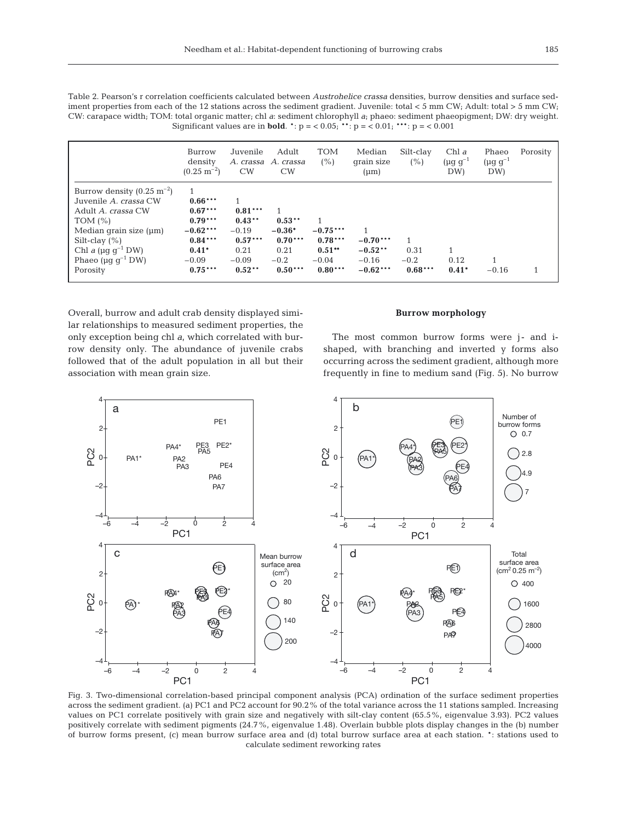Table 2. Pearson's r correlation coefficients calculated between *Austrohelice crassa* densities, burrow densities and surface sediment properties from each of the 12 stations across the sediment gradient. Juvenile: total < 5 mm CW; Adult: total > 5 mm CW; CW: carapace width; TOM: total organic matter; chl *a*: sediment chlorophyll *a*; phaeo: sediment phaeopigment; DW: dry weight. Significant values are in **bold**.  $^*$ :  $p = 0.05$ ;  $^{**}$ :  $p = 0.01$ ;  $^{***}$ :  $p = 0.001$ 

|                                                                                                                                                                                                                                                    | Burrow<br>density<br>$(0.25 \text{ m}^{-2})$                                                      | Juvenile<br>A. crassa<br>CW                                                  | Adult<br>A. crassa<br>CW                                              | <b>TOM</b><br>(%)                                                | Median<br>qrain size<br>$(\mu m)$                | Silt-clay<br>(%)            | Chl $a$<br>$(\mu q q^{-1})$<br>DW) | Phaeo<br>$(\mu g g^{-1})$<br>DW) | Porosity |
|----------------------------------------------------------------------------------------------------------------------------------------------------------------------------------------------------------------------------------------------------|---------------------------------------------------------------------------------------------------|------------------------------------------------------------------------------|-----------------------------------------------------------------------|------------------------------------------------------------------|--------------------------------------------------|-----------------------------|------------------------------------|----------------------------------|----------|
| Burrow density $(0.25 \text{ m}^{-2})$<br>Juvenile A. crassa CW<br>Adult A. crassa CW<br>TOM $(\% )$<br>Median grain size $(\mu m)$<br>Silt-clay $(\% )$<br>Chl a ( $\mu$ g g <sup>-1</sup> DW)<br>Phaeo ( $\mu$ g g <sup>-1</sup> DW)<br>Porosity | $0.66***$<br>$0.67***$<br>$0.79***$<br>$-0.62***$<br>$0.84***$<br>$0.41*$<br>$-0.09$<br>$0.75***$ | $0.81***$<br>$0.43**$<br>$-0.19$<br>$0.57***$<br>0.21<br>$-0.09$<br>$0.52**$ | 1<br>$0.53**$<br>$-0.36*$<br>$0.70***$<br>0.21<br>$-0.2$<br>$0.50***$ | 1<br>$-0.75***$<br>$0.78***$<br>$0.51**$<br>$-0.04$<br>$0.80***$ | $-0.70***$<br>$-0.52**$<br>$-0.16$<br>$-0.62***$ | 0.31<br>$-0.2$<br>$0.68***$ | 0.12<br>$0.41*$                    | $-0.16$                          |          |

Overall, burrow and adult crab density displayed similar relationships to measured sediment properties, the only exception being chl *a*, which correlated with burrow density only. The abundance of juvenile crabs followed that of the adult population in all but their association with mean grain size.

# **Burrow morphology**

The most common burrow forms were j- and ishaped, with branching and inverted y forms also occurring across the sediment gradient, although more frequently in fine to medium sand (Fig. 5). No burrow



Fig. 3. Two-dimensional correlation-based principal component analysis (PCA) ordination of the surface sediment properties across the sediment gradient. (a) PC1 and PC2 account for 90.2% of the total variance across the 11 stations sampled. Increasing values on PC1 correlate positively with grain size and negatively with silt-clay content (65.5%, eigenvalue 3.93). PC2 values positively correlate with sediment pigments (24.7%, eigenvalue 1.48). Overlain bubble plots display changes in the (b) number of burrow forms present, (c) mean burrow surface area and (d) total burrow surface area at each station. \*: stations used to calculate sediment reworking rates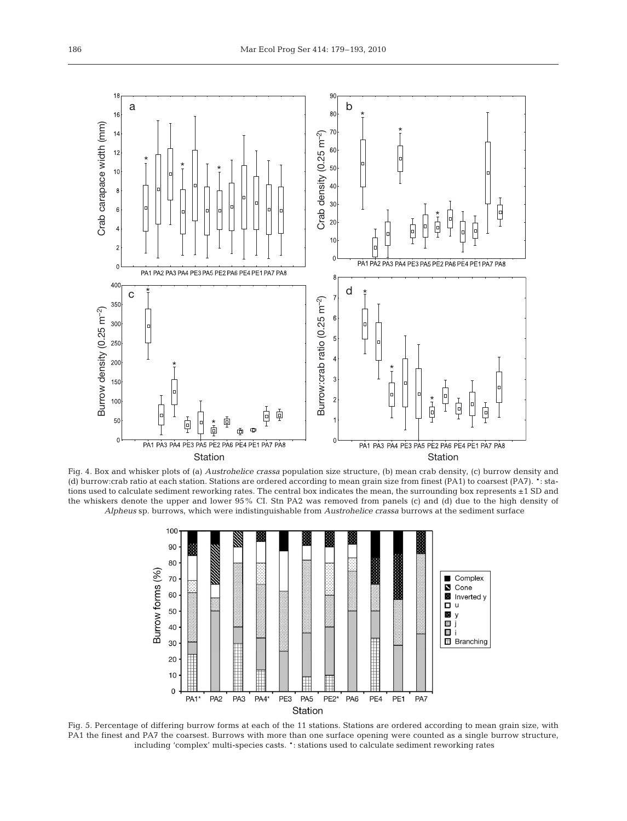

Fig. 4. Box and whisker plots of (a) *Austrohelice crassa* population size structure, (b) mean crab density, (c) burrow density and (d) burrow:crab ratio at each station. Stations are ordered according to mean grain size from finest (PA1) to coarsest (PA7). \*: stations used to calculate sediment reworking rates. The central box indicates the mean, the surrounding box represents ±1 SD and the whiskers denote the upper and lower 95% CI. Stn PA2 was removed from panels (c) and (d) due to the high density of *Alpheus* sp. burrows, which were indistinguishable from *Austrohelice crassa* burrows at the sediment surface



Fig. 5. Percentage of differing burrow forms at each of the 11 stations. Stations are ordered according to mean grain size, with PA1 the finest and PA7 the coarsest. Burrows with more than one surface opening were counted as a single burrow structure, including 'complex' multi-species casts. \*: stations used to calculate sediment reworking rates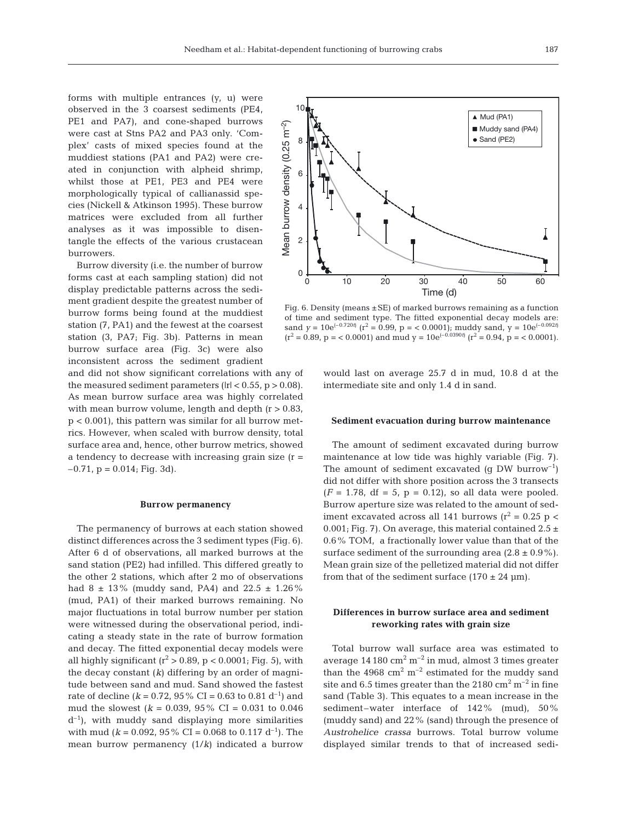forms with multiple entrances (y, u) were observed in the 3 coarsest sediments (PE4, PE1 and PA7), and cone-shaped burrows were cast at Stns PA2 and PA3 only. 'Complex' casts of mixed species found at the muddiest stations (PA1 and PA2) were created in conjunction with alpheid shrimp, whilst those at PE1, PE3 and PE4 were morphologically typical of callianassid species (Nickell & Atkinson 1995). These burrow matrices were excluded from all further analyses as it was impossible to disentangle the effects of the various crustacean burrowers.

Burrow diversity (i.e. the number of burrow forms cast at each sampling station) did not display predictable patterns across the sediment gradient despite the greatest number of burrow forms being found at the muddiest station (7, PA1) and the fewest at the coarsest station (3, PA7; Fig. 3b). Patterns in mean burrow surface area (Fig. 3c) were also inconsistent across the sediment gradient

and did not show significant correlations with any of the measured sediment parameters ( $|r| < 0.55$ ,  $p > 0.08$ ). As mean burrow surface area was highly correlated with mean burrow volume, length and depth  $(r > 0.83)$ ,  $p < 0.001$ , this pattern was similar for all burrow metrics. However, when scaled with burrow density, total surface area and, hence, other burrow metrics, showed a tendency to decrease with increasing grain size  $(r =$  $-0.71$ ,  $p = 0.014$ ; Fig. 3d).

#### **Burrow permanency**

The permanency of burrows at each station showed distinct differences across the 3 sediment types (Fig. 6). After 6 d of observations, all marked burrows at the sand station (PE2) had infilled. This differed greatly to the other 2 stations, which after 2 mo of observations had 8  $\pm$  13% (muddy sand, PA4) and 22.5  $\pm$  1.26% (mud, PA1) of their marked burrows remaining. No major fluctuations in total burrow number per station were witnessed during the observational period, indicating a steady state in the rate of burrow formation and decay. The fitted exponential decay models were all highly significant ( $r^2 > 0.89$ ,  $p < 0.0001$ ; Fig. 5), with the decay constant (*k*) differing by an order of magnitude between sand and mud. Sand showed the fastest rate of decline ( $k = 0.72$ , 95% CI = 0.63 to 0.81 d<sup>-1</sup>) and mud the slowest  $(k = 0.039, 95\% \text{ CI} = 0.031 \text{ to } 0.046$  $d^{-1}$ ), with muddy sand displaying more similarities with mud ( $k = 0.092$ , 95% CI = 0.068 to 0.117 d<sup>-1</sup>). The mean burrow permanency (1/*k*) indicated a burrow



Fig. 6. Density (means  $\pm$  SE) of marked burrows remaining as a function of time and sediment type. The fitted exponential decay models are: sand  $y = 10e^{(-0.720t)}$  ( $r^2 = 0.99$ ,  $p = 0.0001$ ); muddy sand,  $y = 10e^{(-0.092t)}$  $(r^2 = 0.89, p = 0.0001)$  and mud  $y = 10e^{(-0.0390t)} (r^2 = 0.94, p = 0.0001)$ .

would last on average 25.7 d in mud, 10.8 d at the intermediate site and only 1.4 d in sand.

#### **Sediment evacuation during burrow maintenance**

The amount of sediment excavated during burrow maintenance at low tide was highly variable (Fig. 7). The amount of sediment excavated (g DW burrow<sup>-1</sup>) did not differ with shore position across the 3 transects  $(F = 1.78, df = 5, p = 0.12)$ , so all data were pooled. Burrow aperture size was related to the amount of sediment excavated across all 141 burrows ( $r^2$  = 0.25 p < 0.001; Fig. 7). On average, this material contained  $2.5 \pm$ 0.6% TOM, a fractionally lower value than that of the surface sediment of the surrounding area  $(2.8 \pm 0.9\%)$ . Mean grain size of the pelletized material did not differ from that of the sediment surface  $(170 \pm 24 \text{ }\mu\text{m})$ .

# **Differences in burrow surface area and sediment reworking rates with grain size**

Total burrow wall surface area was estimated to average  $14\,180\ \mathrm{cm^2\,m^{-2}}$  in mud, almost 3 times greater than the 4968  $\text{cm}^2 \text{ m}^{-2}$  estimated for the muddy sand site and 6.5 times greater than the  $2180 \text{ cm}^2 \text{ m}^{-2}$  in fine sand (Table 3). This equates to a mean increase in the sediment–water interface of 142% (mud), 50% (muddy sand) and 22% (sand) through the presence of *Austrohelice crassa* burrows. Total burrow volume displayed similar trends to that of increased sedi-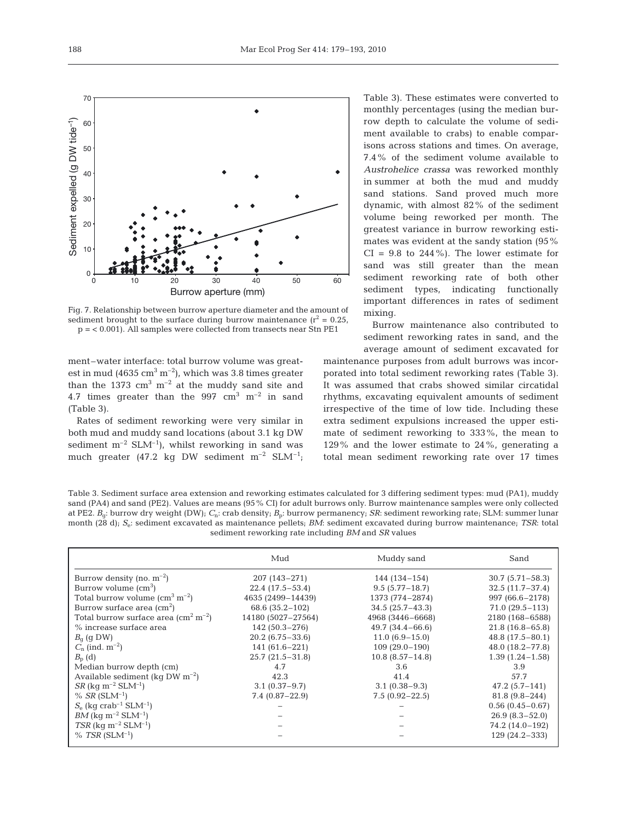

Fig. 7. Relationship between burrow aperture diameter and the amount of sediment brought to the surface during burrow maintenance  $(r^2 = 0.25,$ p = < 0.001). All samples were collected from transects near Stn PE1

ment–water interface: total burrow volume was greatest in mud (4635 cm<sup>3</sup> m<sup>-2</sup>), which was 3.8 times greater than the 1373  $\text{cm}^3 \text{ m}^{-2}$  at the muddy sand site and 4.7 times greater than the 997  $\text{cm}^3$   $\text{m}^{-2}$  in sand (Table 3).

Rates of sediment reworking were very similar in both mud and muddy sand locations (about 3.1 kg DW sediment  $m^{-2}$  SLM<sup>-1</sup>), whilst reworking in sand was much greater (47.2 kg DW sediment  $m^{-2}$  SLM<sup>-1</sup>; Table 3). These estimates were converted to monthly percentages (using the median burrow depth to calculate the volume of sediment available to crabs) to enable comparisons across stations and times. On average, 7.4% of the sediment volume available to *Austrohelice crassa* was reworked monthly in summer at both the mud and muddy sand stations. Sand proved much more dynamic, with almost 82% of the sediment volume being reworked per month. The greatest variance in burrow reworking estimates was evident at the sandy station (95%  $CI = 9.8$  to 244%). The lower estimate for sand was still greater than the mean sediment reworking rate of both other sediment types, indicating functionally important differences in rates of sediment mixing.

Burrow maintenance also contributed to sediment reworking rates in sand, and the average amount of sediment excavated for

maintenance purposes from adult burrows was incorporated into total sediment reworking rates (Table 3). It was assumed that crabs showed similar circatidal rhythms, excavating equivalent amounts of sediment irrespective of the time of low tide. Including these extra sediment expulsions increased the upper estimate of sediment reworking to 333%, the mean to 129% and the lower estimate to 24%, generating a total mean sediment reworking rate over 17 times

Table 3. Sediment surface area extension and reworking estimates calculated for 3 differing sediment types: mud (PA1), muddy sand (PA4) and sand (PE2). Values are means (95% CI) for adult burrows only. Burrow maintenance samples were only collected at PE2. *B*g: burrow dry weight (DW); *C*n: crab density; *B*p: burrow permanency; *SR*: sediment reworking rate; SLM: summer lunar month (28 d); *S*e: sediment excavated as maintenance pellets; *BM*: sediment excavated during burrow maintenance; *TSR*: total sediment reworking rate including *BM* and *SR* values

|                                                  | Mud                 | Muddy sand          | Sand                |
|--------------------------------------------------|---------------------|---------------------|---------------------|
| Burrow density (no. $m^{-2}$ )                   | $207(143 - 271)$    | $144(134-154)$      | $30.7(5.71 - 58.3)$ |
| Burrow volume $\rm (cm^3)$                       | $22.4(17.5-53.4)$   | $9.5(5.77 - 18.7)$  | $32.5(11.7-37.4)$   |
| Total burrow volume $\rm (cm^3~m^{-2})$          | 4635 (2499-14439)   | 1373 (774-2874)     | 997 (66.6-2178)     |
| Burrow surface area $\rm (cm^2)$                 | 68.6 (35.2-102)     | $34.5(25.7 - 43.3)$ | $71.0(29.5 - 113)$  |
| Total burrow surface area $\rm (cm^2~m^{-2})$    | 14180 (5027-27564)  | 4968 (3446-6668)    | 2180 (168-6588)     |
| % increase surface area                          | $142(50.3-276)$     | $49.7(34.4 - 66.6)$ | $21.8(16.8-65.8)$   |
| $B_{\alpha}$ (g DW)                              | $20.2(6.75 - 33.6)$ | $11.0(6.9-15.0)$    | $48.8(17.5 - 80.1)$ |
| $C_n$ (ind. $m^{-2}$ )                           | $141(61.6-221)$     | $109(29.0-190)$     | $48.0(18.2 - 77.8)$ |
| $B_{\rm p}$ (d)                                  | $25.7(21.5-31.8)$   | $10.8(8.57 - 14.8)$ | $1.39(1.24 - 1.58)$ |
| Median burrow depth (cm)                         | 4.7                 | 3.6                 | 3.9                 |
| Available sediment (kg DW $m^{-2}$ )             | 42.3                | 41.4                | 57.7                |
| $SR$ (kg m <sup>-2</sup> SLM <sup>-1</sup> )     | $3.1(0.37-9.7)$     | $3.1(0.38-9.3)$     | $47.2(5.7 - 141)$   |
| % <i>SR</i> $(SLM^{-1})$                         | $7.4(0.87 - 22.9)$  | $7.5(0.92 - 22.5)$  | $81.8(9.8-244)$     |
| $S_e$ (kg crab <sup>-1</sup> SLM <sup>-1</sup> ) |                     |                     | $0.56(0.45 - 0.67)$ |
| $BM$ (kq m <sup>-2</sup> SLM <sup>-1</sup> )     |                     |                     | $26.9(8.3-52.0)$    |
| $TSR$ (kg m <sup>-2</sup> SLM <sup>-1</sup> )    |                     |                     | 74.2 (14.0-192)     |
| $% TSR(SLM^{-1})$                                |                     |                     | $129(24.2-333)$     |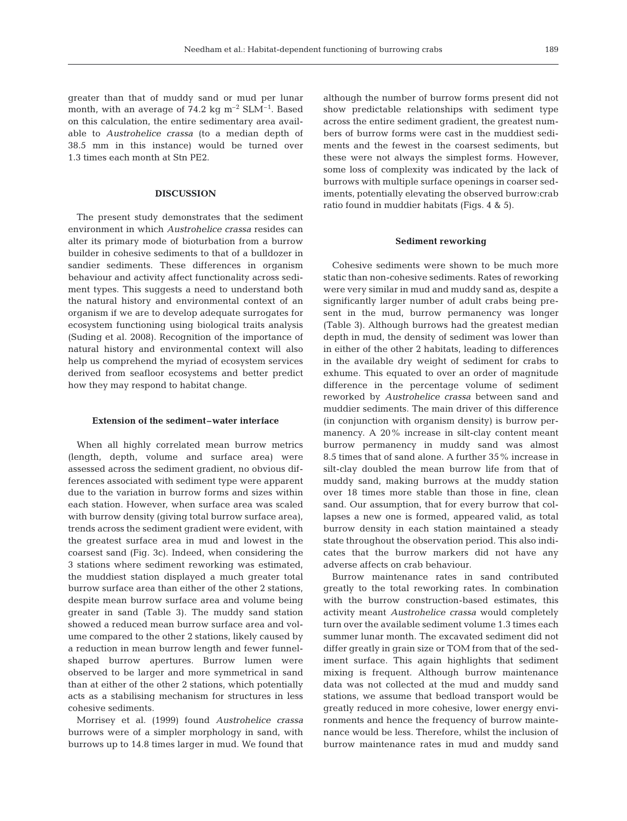greater than that of muddy sand or mud per lunar month, with an average of 74.2 kg  $\text{m}^{-2}$  SLM<sup>-1</sup>. Based on this calculation, the entire sedimentary area available to *Austrohelice crassa* (to a median depth of 38.5 mm in this instance) would be turned over 1.3 times each month at Stn PE2.

# **DISCUSSION**

The present study demonstrates that the sediment environment in which *Austrohelice crassa* resides can alter its primary mode of bioturbation from a burrow builder in cohesive sediments to that of a bulldozer in sandier sediments. These differences in organism behaviour and activity affect functionality across sediment types. This suggests a need to understand both the natural history and environmental context of an organism if we are to develop adequate surrogates for ecosystem functioning using biological traits analysis (Suding et al. 2008). Recognition of the importance of natural history and environmental context will also help us comprehend the myriad of ecosystem services derived from seafloor ecosystems and better predict how they may respond to habitat change.

#### **Extension of the sediment–water interface**

When all highly correlated mean burrow metrics (length, depth, volume and surface area) were assessed across the sediment gradient, no obvious differences associated with sediment type were apparent due to the variation in burrow forms and sizes within each station. However, when surface area was scaled with burrow density (giving total burrow surface area), trends across the sediment gradient were evident, with the greatest surface area in mud and lowest in the coarsest sand (Fig. 3c). Indeed, when considering the 3 stations where sediment reworking was estimated, the muddiest station displayed a much greater total burrow surface area than either of the other 2 stations, despite mean burrow surface area and volume being greater in sand (Table 3). The muddy sand station showed a reduced mean burrow surface area and volume compared to the other 2 stations, likely caused by a reduction in mean burrow length and fewer funnelshaped burrow apertures. Burrow lumen were observed to be larger and more symmetrical in sand than at either of the other 2 stations, which potentially acts as a stabilising mechanism for structures in less cohesive sediments.

Morrisey et al. (1999) found *Austrohelice crassa* burrows were of a simpler morphology in sand, with burrows up to 14.8 times larger in mud. We found that although the number of burrow forms present did not show predictable relationships with sediment type across the entire sediment gradient, the greatest numbers of burrow forms were cast in the muddiest sediments and the fewest in the coarsest sediments, but these were not always the simplest forms. However, some loss of complexity was indicated by the lack of burrows with multiple surface openings in coarser sediments, potentially elevating the observed burrow:crab ratio found in muddier habitats (Figs. 4 & 5).

#### **Sediment reworking**

Cohesive sediments were shown to be much more static than non-cohesive sediments. Rates of reworking were very similar in mud and muddy sand as, despite a significantly larger number of adult crabs being present in the mud, burrow permanency was longer (Table 3). Although burrows had the greatest median depth in mud, the density of sediment was lower than in either of the other 2 habitats, leading to differences in the available dry weight of sediment for crabs to exhume. This equated to over an order of magnitude difference in the percentage volume of sediment reworked by *Austrohelice crassa* between sand and muddier sediments. The main driver of this difference (in conjunction with organism density) is burrow permanency. A 20% increase in silt-clay content meant burrow permanency in muddy sand was almost 8.5 times that of sand alone. A further 35% increase in silt-clay doubled the mean burrow life from that of muddy sand, making burrows at the muddy station over 18 times more stable than those in fine, clean sand. Our assumption, that for every burrow that collapses a new one is formed, appeared valid, as total burrow density in each station maintained a steady state throughout the observation period. This also indicates that the burrow markers did not have any adverse affects on crab behaviour.

Burrow maintenance rates in sand contributed greatly to the total reworking rates. In combination with the burrow construction-based estimates, this activity meant *Austrohelice crassa* would completely turn over the available sediment volume 1.3 times each summer lunar month. The excavated sediment did not differ greatly in grain size or TOM from that of the sediment surface. This again highlights that sediment mixing is frequent. Although burrow maintenance data was not collected at the mud and muddy sand stations, we assume that bedload transport would be greatly reduced in more cohesive, lower energy environments and hence the frequency of burrow maintenance would be less. Therefore, whilst the inclusion of burrow maintenance rates in mud and muddy sand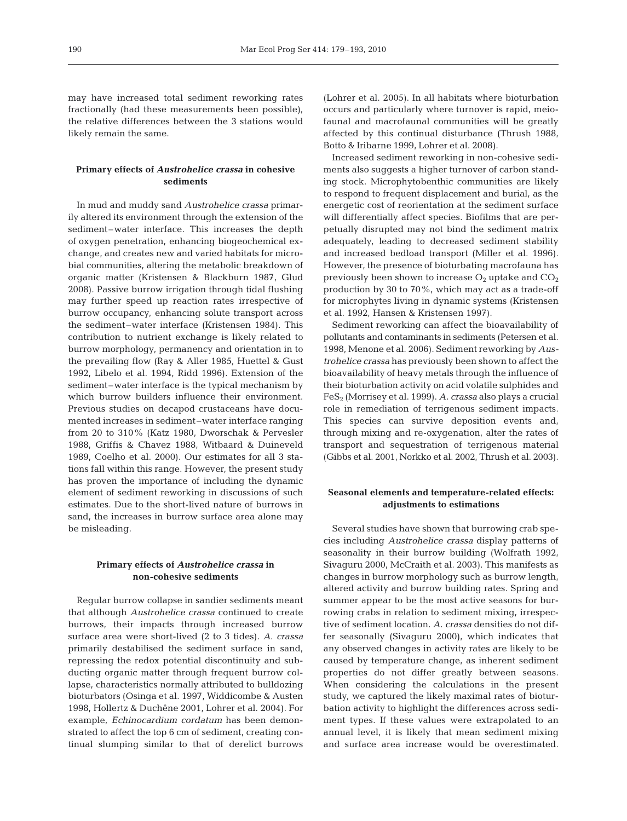may have increased total sediment reworking rates fractionally (had these measurements been possible), the relative differences between the 3 stations would likely remain the same.

# **Primary effects of** *Austrohelice crassa* **in cohesive sediments**

In mud and muddy sand *Austrohelice crassa* primarily altered its environment through the extension of the sediment–water interface. This increases the depth of oxygen penetration, enhancing biogeochemical exchange, and creates new and varied habitats for microbial communities, altering the metabolic breakdown of organic matter (Kristensen & Blackburn 1987, Glud 2008). Passive burrow irrigation through tidal flushing may further speed up reaction rates irrespective of burrow occupancy, enhancing solute transport across the sediment–water interface (Kristensen 1984). This contribution to nutrient exchange is likely related to burrow morphology, permanency and orientation in to the prevailing flow (Ray & Aller 1985, Huettel & Gust 1992, Libelo et al. 1994, Ridd 1996). Extension of the sediment–water interface is the typical mechanism by which burrow builders influence their environment. Previous studies on decapod crustaceans have documented increases in sediment–water interface ranging from 20 to 310% (Katz 1980, Dworschak & Pervesler 1988, Griffis & Chavez 1988, Witbaard & Duineveld 1989, Coelho et al. 2000). Our estimates for all 3 stations fall within this range. However, the present study has proven the importance of including the dynamic element of sediment reworking in discussions of such estimates. Due to the short-lived nature of burrows in sand, the increases in burrow surface area alone may be misleading.

# **Primary effects of** *Austrohelice crassa* **in non-cohesive sediments**

Regular burrow collapse in sandier sediments meant that although *Austrohelice crassa* continued to create burrows, their impacts through increased burrow surface area were short-lived (2 to 3 tides). *A. crassa* primarily destabilised the sediment surface in sand, repressing the redox potential discontinuity and subducting organic matter through frequent burrow collapse, characteristics normally attributed to bulldozing bioturbators (Osinga et al. 1997, Widdicombe & Austen 1998, Hollertz & Duchêne 2001, Lohrer et al. 2004). For example, *Echinocardium cordatum* has been demonstrated to affect the top 6 cm of sediment, creating continual slumping similar to that of derelict burrows

(Lohrer et al. 2005). In all habitats where bioturbation occurs and particularly where turnover is rapid, meiofaunal and macrofaunal communities will be greatly affected by this continual disturbance (Thrush 1988, Botto & Iribarne 1999, Lohrer et al. 2008).

Increased sediment reworking in non-cohesive sediments also suggests a higher turnover of carbon standing stock. Microphytobenthic communities are likely to respond to frequent displacement and burial, as the energetic cost of reorientation at the sediment surface will differentially affect species. Biofilms that are perpetually disrupted may not bind the sediment matrix adequately, leading to decreased sediment stability and increased bedload transport (Miller et al. 1996). However, the presence of bioturbating macrofauna has previously been shown to increase  $O_2$  uptake and  $CO_2$ production by 30 to 70%, which may act as a trade-off for microphytes living in dynamic systems (Kristensen et al. 1992, Hansen & Kristensen 1997).

Sediment reworking can affect the bioavailability of pollutants and contaminants in sediments (Petersen et al. 1998, Menone et al. 2006). Sediment reworking by *Austrohelice crassa* has previously been shown to affect the bioavailability of heavy metals through the influence of their bioturbation activity on acid volatile sulphides and FeS2 (Morrisey et al. 1999). *A. crassa* also plays a crucial role in remediation of terrigenous sediment impacts. This species can survive deposition events and, through mixing and re-oxygenation, alter the rates of transport and sequestration of terrigenous material (Gibbs et al. 2001, Norkko et al. 2002, Thrush et al. 2003).

# **Seasonal elements and temperature-related effects: adjustments to estimations**

Several studies have shown that burrowing crab species including *Austrohelice crassa* display patterns of seasonality in their burrow building (Wolfrath 1992, Sivaguru 2000, McCraith et al. 2003). This manifests as changes in burrow morphology such as burrow length, altered activity and burrow building rates. Spring and summer appear to be the most active seasons for burrowing crabs in relation to sediment mixing, irrespective of sediment location. *A. crassa* densities do not differ seasonally (Sivaguru 2000), which indicates that any observed changes in activity rates are likely to be caused by temperature change, as inherent sediment properties do not differ greatly between seasons. When considering the calculations in the present study, we captured the likely maximal rates of bioturbation activity to highlight the differences across sediment types. If these values were extrapolated to an annual level, it is likely that mean sediment mixing and surface area increase would be overestimated.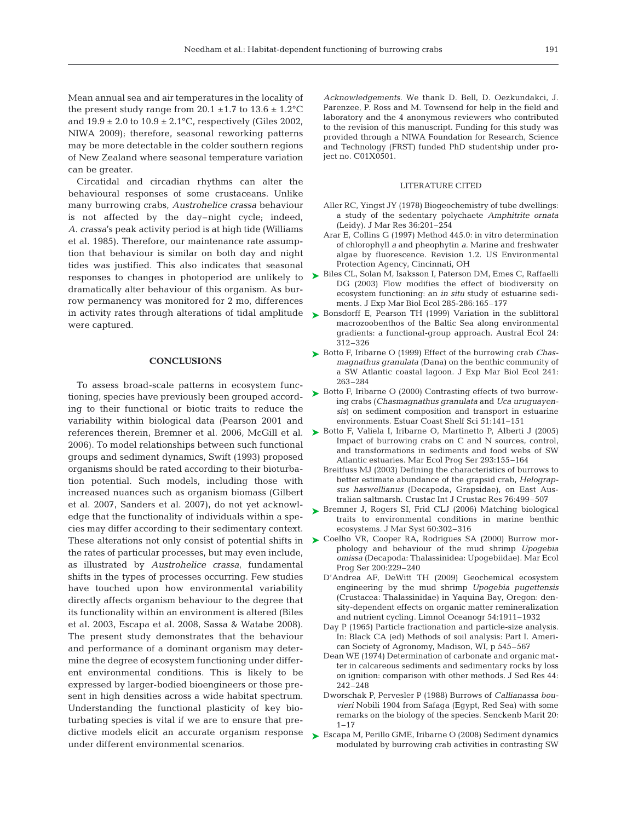Mean annual sea and air temperatures in the locality of the present study range from  $20.1 \pm 1.7$  to  $13.6 \pm 1.2$ °C and  $19.9 \pm 2.0$  to  $10.9 \pm 2.1$ °C, respectively (Giles 2002, NIWA 2009); therefore, seasonal reworking patterns may be more detectable in the colder southern regions of New Zealand where seasonal temperature variation can be greater.

Circatidal and circadian rhythms can alter the behavioural responses of some crustaceans. Unlike many burrowing crabs, *Austrohelice crassa* behaviour is not affected by the day–night cycle; indeed, *A. crassa*'s peak activity period is at high tide (Williams et al. 1985). Therefore, our maintenance rate assumption that behaviour is similar on both day and night tides was justified. This also indicates that seasonal responses to changes in photoperiod are unlikely to dramatically alter behaviour of this organism. As burrow permanency was monitored for 2 mo, differences in activity rates through alterations of tidal amplitude were captured.

### **CONCLUSIONS**

To assess broad-scale patterns in ecosystem functioning, species have previously been grouped according to their functional or biotic traits to reduce the variability within biological data (Pearson 2001 and 2006). To model relationships between such functional groups and sediment dynamics, Swift (1993) proposed organisms should be rated according to their bioturbation potential. Such models, including those with increased nuances such as organism biomass (Gilbert et al. 2007, Sanders et al. 2007), do not yet acknowledge that the functionality of individuals within a species may differ according to their sedimentary context. the rates of particular processes, but may even include, as illustrated by *Austrohelice crassa*, fundamental shifts in the types of processes occurring. Few studies have touched upon how environmental variability directly affects organism behaviour to the degree that its functionality within an environment is altered (Biles et al. 2003, Escapa et al. 2008, Sassa & Watabe 2008). The present study demonstrates that the behaviour and performance of a dominant organism may determine the degree of ecosystem functioning under different environmental conditions. This is likely to be expressed by larger-bodied bioengineers or those present in high densities across a wide habitat spectrum. Understanding the functional plasticity of key bioturbating species is vital if we are to ensure that predictive models elicit an accurate organism response under different environmental scenarios.

*Acknowledgements.* We thank D. Bell, D. Oezkundakci, J. Parenzee, P. Ross and M. Townsend for help in the field and laboratory and the 4 anonymous reviewers who contributed to the revision of this manuscript. Funding for this study was provided through a NIWA Foundation for Research, Science and Technology (FRST) funded PhD studentship under project no. C01X0501.

#### LITERATURE CITED

- Aller RC, Yingst JY (1978) Biogeochemistry of tube dwellings: a study of the sedentary polychaete *Amphitrite ornata* (Leidy). J Mar Res 36:201–254
- Arar E, Collins G (1997) Method 445.0: in vitro determination of chlorophyll *a* and pheophytin *a*. Marine and freshwater algae by fluorescence. Revision 1.2. US Environmental Protection Agency, Cincinnati, OH
- ► Biles CL, Solan M, Isaksson I, Paterson DM, Emes C, Raffaelli DG (2003) Flow modifies the effect of biodiversity on ecosystem functioning: an *in situ* study of estuarine sediments. J Exp Mar Biol Ecol 285-286:165–177
- ► Bonsdorff E, Pearson TH (1999) Variation in the sublittoral macrozoobenthos of the Baltic Sea along environmental gradients: a functional-group approach. Austral Ecol 24: 312–326
- Botto F, Iribarne O (1999) Effect of the burrowing crab *Chas-*➤ *magnathus granulata* (Dana) on the benthic community of a SW Atlantic coastal lagoon. J Exp Mar Biol Ecol 241: 263–284
- ► Botto F, Iribarne O (2000) Contrasting effects of two burrowing crabs (*Chasmagnathus granulata* and *Uca uruguayensis*) on sediment composition and transport in estuarine environments. Estuar Coast Shelf Sci 51:141–151
- references therein, Bremner et al. 2006, McGill et al. Botto F, Valiela I, Iribarne O, Martinetto P, Alberti J (2005) ➤ Impact of burrowing crabs on C and N sources, control, and transformations in sediments and food webs of SW Atlantic estuaries. Mar Ecol Prog Ser 293:155–164
	- Breitfuss MJ (2003) Defining the characteristics of burrows to better estimate abundance of the grapsid crab, *Helograpsus haswellianus* (Decapoda, Grapsidae), on East Australian saltmarsh. Crustac Int J Crustac Res 76:499–507
	- ▶ Bremner J, Rogers SI, Frid CLJ (2006) Matching biological traits to environmental conditions in marine benthic ecosystems. J Mar Syst 60:302–316
- These alterations not only consist of potential shifts in  $\triangleright$  Coelho VR, Cooper RA, Rodrigues SA (2000) Burrow morphology and behaviour of the mud shrimp *Upogebia omissa* (Decapoda: Thalassinidea: Upogebiidae). Mar Ecol Prog Ser 200:229–240
	- D'Andrea AF, DeWitt TH (2009) Geochemical ecosystem engineering by the mud shrimp *Upogebia pugettensis* (Crustacea: Thalassinidae) in Yaquina Bay, Oregon: density-dependent effects on organic matter remineralization and nutrient cycling. Limnol Oceanogr 54:1911–1932
	- Day P (1965) Particle fractionation and particle-size analysis. In: Black CA (ed) Methods of soil analysis: Part I. American Society of Agronomy, Madison, WI, p 545–567
	- Dean WE (1974) Determination of carbonate and organic matter in calcareous sediments and sedimentary rocks by loss on ignition: comparison with other methods. J Sed Res 44: 242–248
	- Dworschak P, Pervesler P (1988) Burrows of *Callianassa bouvieri* Nobili 1904 from Safaga (Egypt, Red Sea) with some remarks on the biology of the species. Senckenb Marit 20: 1–17
	- ► Escapa M, Perillo GME, Iribarne O (2008) Sediment dynamics modulated by burrowing crab activities in contrasting SW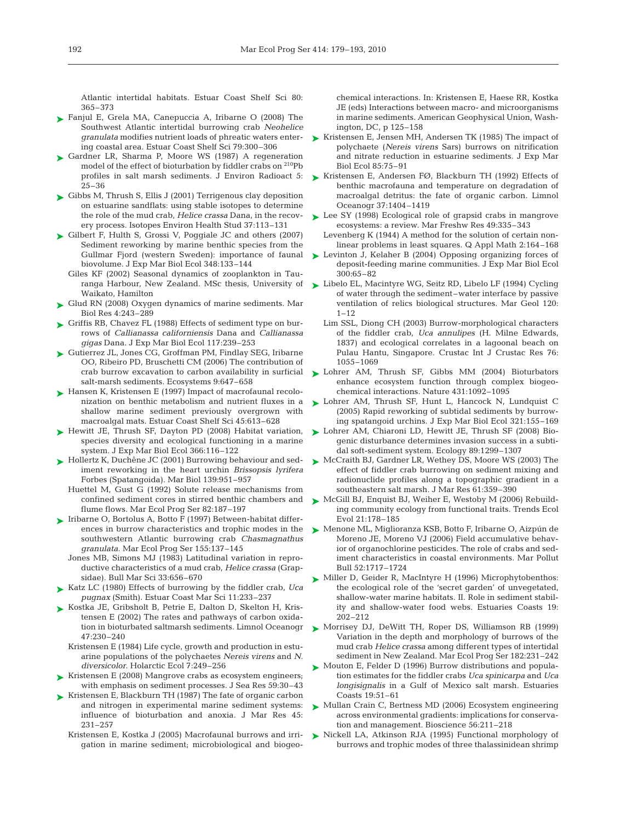Atlantic intertidal habitats. Estuar Coast Shelf Sci 80: 365–373

- ► Fanjul E, Grela MA, Canepuccia A, Iribarne O (2008) The Southwest Atlantic intertidal burrowing crab *Neohelice granulata* modifies nutrient loads of phreatic waters entering coastal area. Estuar Coast Shelf Sci 79:300–306
- ► Gardner LR, Sharma P, Moore WS (1987) A regeneration model of the effect of bioturbation by fiddler crabs on <sup>210</sup>Pb profiles in salt marsh sediments. J Environ Radioact 5: 25–36
- Gibbs M, Thrush S, Ellis J (2001) Terrigenous clay deposition ➤ on estuarine sandflats: using stable isotopes to determine the role of the mud crab, *Helice crassa* Dana, in the recovery process. Isotopes Environ Health Stud 37:113–131
- ► Gilbert F, Hulth S, Grossi V, Poggiale JC and others (2007) Sediment reworking by marine benthic species from the Gullmar Fjord (western Sweden): importance of faunal biovolume. J Exp Mar Biol Ecol 348:133–144
	- Giles KF (2002) Seasonal dynamics of zooplankton in Tauranga Harbour, New Zealand. MSc thesis, University of Waikato, Hamilton
- ► Glud RN (2008) Oxygen dynamics of marine sediments. Mar Biol Res 4:243–289
- ► Griffis RB, Chavez FL (1988) Effects of sediment type on burrows of *Callianassa californiensis* Dana and *Callianassa gigas* Dana. J Exp Mar Biol Ecol 117:239–253
- ► Gutierrez JL, Jones CG, Groffman PM, Findlay SEG, Iribarne OO, Ribeiro PD, Bruschetti CM (2006) The contribution of crab burrow excavation to carbon availability in surficial salt-marsh sediments. Ecosystems 9:647–658
- ► Hansen K, Kristensen E (1997) Impact of macrofaunal recolonization on benthic metabolism and nutrient fluxes in a shallow marine sediment previously overgrown with macroalgal mats. Estuar Coast Shelf Sci 45:613–628
- ▶ Hewitt JE, Thrush SF, Dayton PD (2008) Habitat variation, species diversity and ecological functioning in a marine system. J Exp Mar Biol Ecol 366:116–122
- ► Hollertz K, Duchêne JC (2001) Burrowing behaviour and sediment reworking in the heart urchin *Brissopsis lyrifera* Forbes (Spatangoida). Mar Biol 139:951–957
	- Huettel M, Gust G (1992) Solute release mechanisms from confined sediment cores in stirred benthic chambers and flume flows. Mar Ecol Prog Ser 82:187–197
- ► Iribarne O, Bortolus A, Botto F (1997) Between-habitat differences in burrow characteristics and trophic modes in the southwestern Atlantic burrowing crab *Chasmagnathus granulata*. Mar Ecol Prog Ser 155:137–145
	- Jones MB, Simons MJ (1983) Latitudinal variation in reproductive characteristics of a mud crab, *Helice crassa* (Grapsidae). Bull Mar Sci 33:656–670
- ► Katz LC (1980) Effects of burrowing by the fiddler crab, *Uca pugnax* (Smith). Estuar Coast Mar Sci 11:233–237
- ► Kostka JE, Gribsholt B, Petrie E, Dalton D, Skelton H, Kristensen E (2002) The rates and pathways of carbon oxidation in bioturbated saltmarsh sediments. Limnol Oceanogr 47:230–240
	- Kristensen E (1984) Life cycle, growth and production in estuarine populations of the polychaetes *Nereis virens* and *N. diversicolor*. Holarctic Ecol 7:249–256
- ► Kristensen E (2008) Mangrove crabs as ecosystem engineers; with emphasis on sediment processes. J Sea Res 59:30–43
- ► Kristensen E, Blackburn TH (1987) The fate of organic carbon and nitrogen in experimental marine sediment systems: influence of bioturbation and anoxia. J Mar Res 45: 231–257
	- Kristensen E, Kostka J (2005) Macrofaunal burrows and irrigation in marine sediment; microbiological and biogeo-

chemical interactions. In: Kristensen E, Haese RR, Kostka JE (eds) Interactions between macro- and microorganisms in marine sediments. American Geophysical Union, Washington, DC, p 125–158

- ► Kristensen E, Jensen MH, Andersen TK (1985) The impact of polychaete (*Nereis virens* Sars) burrows on nitrification and nitrate reduction in estuarine sediments. J Exp Mar Biol Ecol 85:75–91
- ► Kristensen E, Andersen FØ, Blackburn TH (1992) Effects of benthic macrofauna and temperature on degradation of macroalgal detritus: the fate of organic carbon. Limnol Oceanogr 37:1404–1419
- ► Lee SY (1998) Ecological role of grapsid crabs in mangrove ecosystems: a review. Mar Freshw Res 49:335–343
- Levenberg K (1944) A method for the solution of certain nonlinear problems in least squares. Q Appl Math 2:164–168
- ► Levinton J, Kelaher B (2004) Opposing organizing forces of deposit-feeding marine communities. J Exp Mar Biol Ecol 300:65–82
- ► Libelo EL, Macintyre WG, Seitz RD, Libelo LF (1994) Cycling of water through the sediment–water interface by passive ventilation of relics biological structures. Mar Geol 120:  $1 - 12$ 
	- Lim SSL, Diong CH (2003) Burrow-morphological characters of the fiddler crab, *Uca annulipes* (H. Milne Edwards, 1837) and ecological correlates in a lagoonal beach on Pulau Hantu, Singapore. Crustac Int J Crustac Res 76: 1055–1069
- Lohrer AM, Thrush SF, Gibbs MM (2004) Bioturbators ➤ enhance ecosystem function through complex biogeochemical interactions. Nature 431:1092–1095
- Lohrer AM, Thrush SF, Hunt L, Hancock N, Lundquist C ➤ (2005) Rapid reworking of subtidal sediments by burrowing spatangoid urchins. J Exp Mar Biol Ecol 321:155–169
- ► Lohrer AM, Chiaroni LD, Hewitt JE, Thrush SF (2008) Biogenic disturbance determines invasion success in a subtidal soft-sediment system. Ecology 89:1299–1307
- ► McCraith BJ, Gardner LR, Wethey DS, Moore WS (2003) The effect of fiddler crab burrowing on sediment mixing and radionuclide profiles along a topographic gradient in a southeastern salt marsh. J Mar Res 61:359–390
- ▶ McGill BJ, Enquist BJ, Weiher E, Westoby M (2006) Rebuilding community ecology from functional traits. Trends Ecol Evol 21:178–185
- ► Menone ML, Miglioranza KSB, Botto F, Iribarne O, Aizpún de Moreno JE, Moreno VJ (2006) Field accumulative behavior of organochlorine pesticides. The role of crabs and sediment characteristics in coastal environments. Mar Pollut Bull 52:1717–1724
- Miller D, Geider R, MacIntyre H (1996) Microphytobenthos: the ecological role of the 'secret garden' of unvegetated, shallow-water marine habitats. II. Role in sediment stability and shallow-water food webs. Estuaries Coasts 19: 202–212 ➤
- ▶ Morrisey DJ, DeWitt TH, Roper DS, Williamson RB (1999) Variation in the depth and morphology of burrows of the mud crab *Helice crassa* among different types of intertidal sediment in New Zealand. Mar Ecol Prog Ser 182:231–242
- ► Mouton E, Felder D (1996) Burrow distributions and population estimates for the fiddler crabs *Uca spinicarpa* and *Uca longisignalis* in a Gulf of Mexico salt marsh. Estuaries Coasts 19:51–61
- ► Mullan Crain C, Bertness MD (2006) Ecosystem engineering across environmental gradients: implications for conservation and management. Bioscience 56:211–218
- ▶ Nickell LA, Atkinson RJA (1995) Functional morphology of burrows and trophic modes of three thalassinidean shrimp